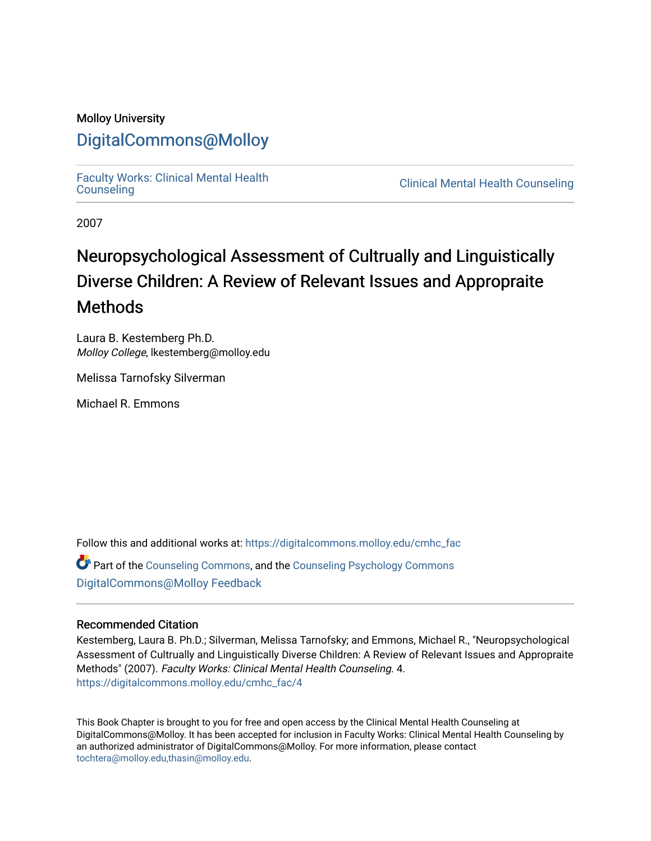### Molloy University

### [DigitalCommons@Molloy](https://digitalcommons.molloy.edu/)

[Faculty Works: Clinical Mental Health](https://digitalcommons.molloy.edu/cmhc_fac) 

**Clinical Mental Health Counseling** 

2007

# Neuropsychological Assessment of Cultrually and Linguistically Diverse Children: A Review of Relevant Issues and Appropraite Methods

Laura B. Kestemberg Ph.D. Molloy College, lkestemberg@molloy.edu

Melissa Tarnofsky Silverman

Michael R. Emmons

Follow this and additional works at: [https://digitalcommons.molloy.edu/cmhc\\_fac](https://digitalcommons.molloy.edu/cmhc_fac?utm_source=digitalcommons.molloy.edu%2Fcmhc_fac%2F4&utm_medium=PDF&utm_campaign=PDFCoverPages) 

Part of the [Counseling Commons,](https://network.bepress.com/hgg/discipline/1268?utm_source=digitalcommons.molloy.edu%2Fcmhc_fac%2F4&utm_medium=PDF&utm_campaign=PDFCoverPages) and the [Counseling Psychology Commons](https://network.bepress.com/hgg/discipline/1044?utm_source=digitalcommons.molloy.edu%2Fcmhc_fac%2F4&utm_medium=PDF&utm_campaign=PDFCoverPages) [DigitalCommons@Molloy Feedback](https://molloy.libwizard.com/f/dcfeedback)

### Recommended Citation

Kestemberg, Laura B. Ph.D.; Silverman, Melissa Tarnofsky; and Emmons, Michael R., "Neuropsychological Assessment of Cultrually and Linguistically Diverse Children: A Review of Relevant Issues and Appropraite Methods" (2007). Faculty Works: Clinical Mental Health Counseling. 4. [https://digitalcommons.molloy.edu/cmhc\\_fac/4](https://digitalcommons.molloy.edu/cmhc_fac/4?utm_source=digitalcommons.molloy.edu%2Fcmhc_fac%2F4&utm_medium=PDF&utm_campaign=PDFCoverPages) 

This Book Chapter is brought to you for free and open access by the Clinical Mental Health Counseling at DigitalCommons@Molloy. It has been accepted for inclusion in Faculty Works: Clinical Mental Health Counseling by an authorized administrator of DigitalCommons@Molloy. For more information, please contact [tochtera@molloy.edu,thasin@molloy.edu](mailto:tochtera@molloy.edu,thasin@molloy.edu).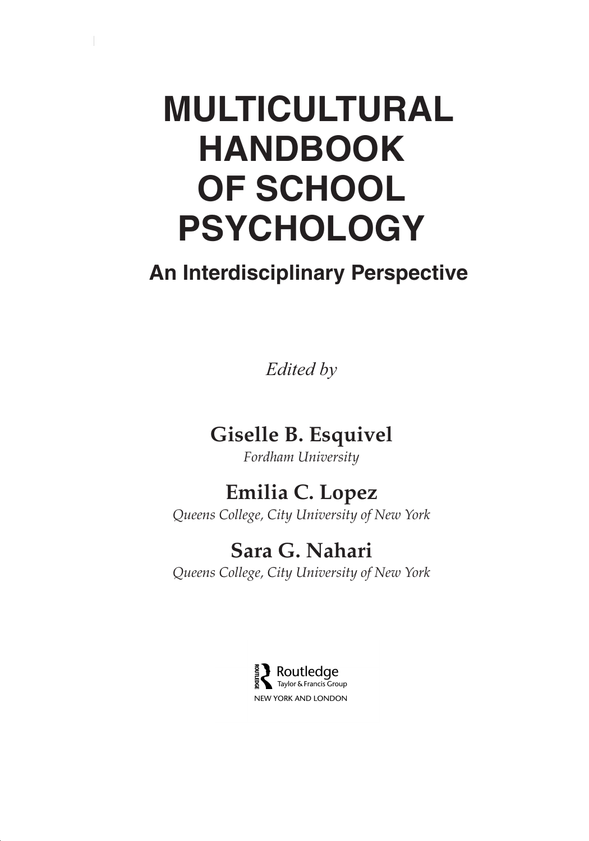# **MULTICULTURAL HANDBOOK OF SCHOOL PSYCHOLOGY**

# **An Interdisciplinary Perspective**

Edited by

## **Giselle B. Esquivel**

*Fordham University*

# **Emilia C. Lopez**

*Queens College, City University of New York*

# **Sara G. Nahari**

*Queens College, City University of New York*

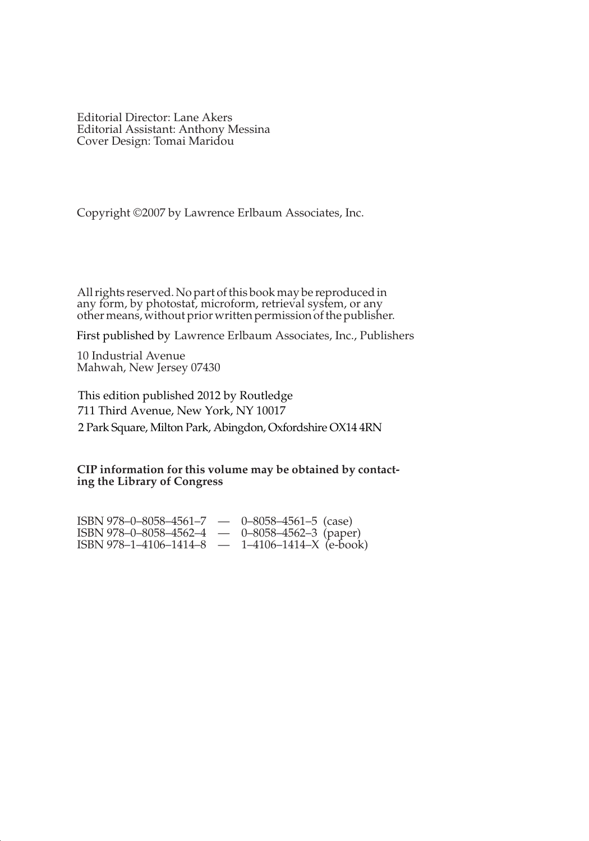Editorial Director: Lane Akers Editorial Assistant: Anthony Messina Cover Design: Tomai Maridou

Copyright ©2007 by Lawrence Erlbaum Associates, Inc.

All rights reserved. No part of this book may be reproduced in any form, by photostat, microform, retrieval system, or any other means, without prior written permission of the publisher.

First published by Lawrence Erlbaum Associates, Inc., Publishers

10 Industrial Avenue Mahwah, New Jersey 07430

This edition published 2012 by Routledge 711 Third Avenue, New York, NY 10017 2 Park Square, Milton Park, Abingdon, Oxfordshire OX14 4RN

**CIP information for this volume may be obtained by contacting the Library of Congress**

| ISBN 978-0-8058-4561-7 | 0-8058-4561-5 (case)     |  |
|------------------------|--------------------------|--|
| ISBN 978-0-8058-4562-4 | 0–8058–4562–3 (paper)    |  |
| ISBN 978-1-4106-1414-8 | $1-4106-1414-X$ (e-book) |  |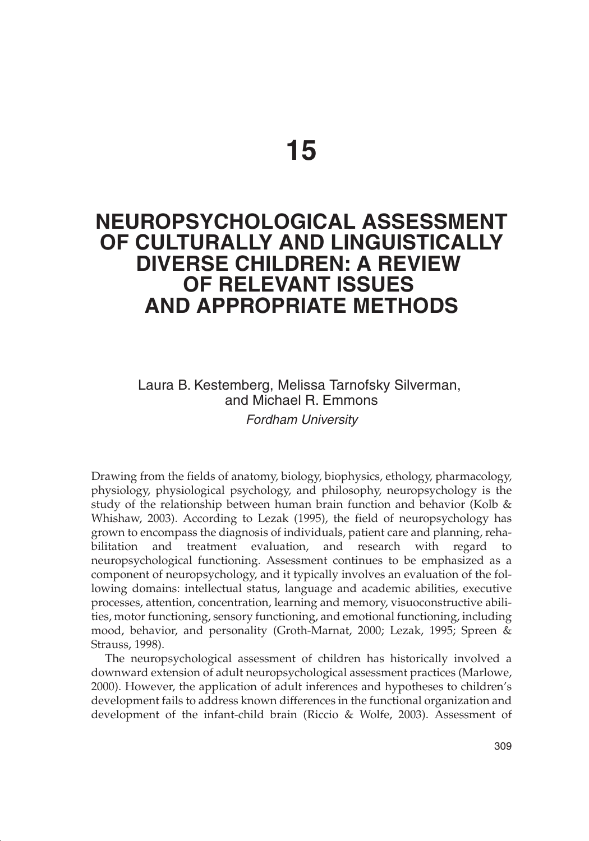### **NEUROPSYCHOLOGICAL ASSESSMENT OF CULTURALLY AND LINGUISTICALLY DIVERSE CHILDREN: A REVIEW OF RELEVANT ISSUES AND APPROPRIATE METHODS**

### Laura B. Kestemberg, Melissa Tarnofsky Silverman, and Michael R. Emmons Fordham University

Drawing from the fields of anatomy, biology, biophysics, ethology, pharmacology, physiology, physiological psychology, and philosophy, neuropsychology is the study of the relationship between human brain function and behavior (Kolb & Whishaw, 2003). According to Lezak (1995), the field of neuropsychology has grown to encompass the diagnosis of individuals, patient care and planning, rehabilitation and treatment evaluation, and research with regard to neuropsychological functioning. Assessment continues to be emphasized as a component of neuropsychology, and it typically involves an evaluation of the following domains: intellectual status, language and academic abilities, executive processes, attention, concentration, learning and memory, visuoconstructive abilities, motor functioning, sensory functioning, and emotional functioning, including mood, behavior, and personality (Groth-Marnat, 2000; Lezak, 1995; Spreen & Strauss, 1998). **15**<br> **SYCHOLOGICAL ASS**<br> **URALLY AND LINGUI:**<br> **RSE CHILDREN: A RE**<br> **DF RELEVANT ISSUE:**<br> **APPROPRIATE METH**<br> *Kestemberg*, Melissa Tarnofsky S<br> *And Michael R. Emmons Fordham University*<br> *Fordham University*<br>
fields of

The neuropsychological assessment of children has historically involved a downward extension of adult neuropsychological assessment practices (Marlowe, 2000). However, the application of adult inferences and hypotheses to children's development fails to address known differences in the functional organization and development of the infant-child brain (Riccio & Wolfe, 2003). Assessment of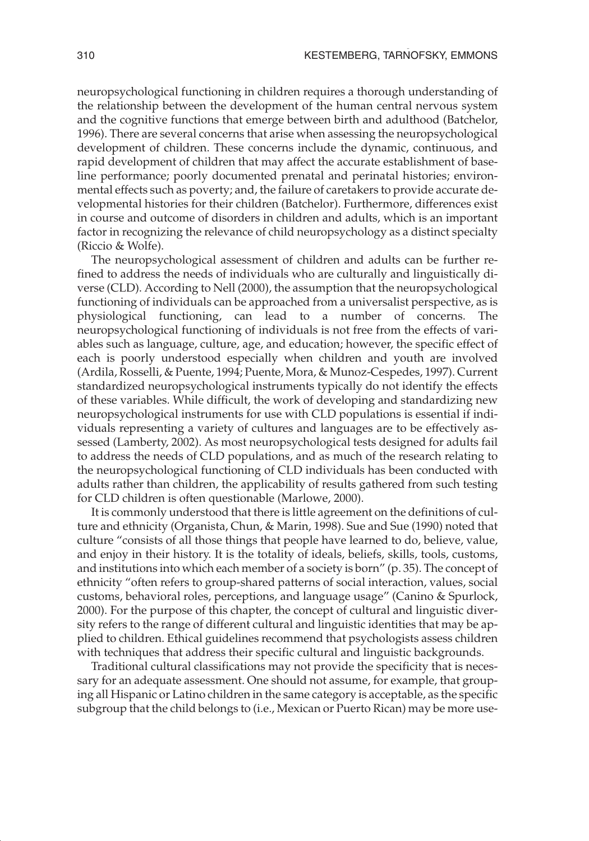neuropsychological functioning in children requires a thorough understanding of the relationship between the development of the human central nervous system and the cognitive functions that emerge between birth and adulthood (Batchelor, 1996). There are several concerns that arise when assessing the neuropsychological development of children. These concerns include the dynamic, continuous, and rapid development of children that may affect the accurate establishment of baseline performance; poorly documented prenatal and perinatal histories; environmental effects such as poverty; and, the failure of caretakers to provide accurate developmental histories for their children (Batchelor). Furthermore, differences exist in course and outcome of disorders in children and adults, which is an important factor in recognizing the relevance of child neuropsychology as a distinct specialty (Riccio & Wolfe).

The neuropsychological assessment of children and adults can be further refined to address the needs of individuals who are culturally and linguistically diverse (CLD). According to Nell (2000), the assumption that the neuropsychological functioning of individuals can be approached from a universalist perspective, as is physiological functioning, can lead to a number of concerns. The neuropsychological functioning of individuals is not free from the effects of variables such as language, culture, age, and education; however, the specific effect of each is poorly understood especially when children and youth are involved (Ardila, Rosselli, & Puente, 1994; Puente, Mora, & Munoz-Cespedes, 1997). Current standardized neuropsychological instruments typically do not identify the effects of these variables. While difficult, the work of developing and standardizing new neuropsychological instruments for use with CLD populations is essential if individuals representing a variety of cultures and languages are to be effectively assessed (Lamberty, 2002). As most neuropsychological tests designed for adults fail to address the needs of CLD populations, and as much of the research relating to the neuropsychological functioning of CLD individuals has been conducted with adults rather than children, the applicability of results gathered from such testing for CLD children is often questionable (Marlowe, 2000). KESTEMBERG, TAR<br>
nectioning in children requires a thorough<br>cen the development of the human centre<br>
tions that emerge between birth and adul<br>
concerns that arise when assessing the numidal concerns in<br>
children that may a

It is commonly understood that there is little agreement on the definitions of culture and ethnicity (Organista, Chun, & Marin, 1998). Sue and Sue (1990) noted that culture "consists of all those things that people have learned to do, believe, value, and enjoy in their history. It is the totality of ideals, beliefs, skills, tools, customs, and institutions into which each member of a society is born" (p. 35). The concept of ethnicity "often refers to group-shared patterns of social interaction, values, social customs, behavioral roles, perceptions, and language usage" (Canino & Spurlock, 2000). For the purpose of this chapter, the concept of cultural and linguistic diversity refers to the range of different cultural and linguistic identities that may be applied to children. Ethical guidelines recommend that psychologists assess children with techniques that address their specific cultural and linguistic backgrounds.

Traditional cultural classifications may not provide the specificity that is necessary for an adequate assessment. One should not assume, for example, that grouping all Hispanic or Latino children in the same category is acceptable, as the specific subgroup that the child belongs to (i.e., Mexican or Puerto Rican) may be more use-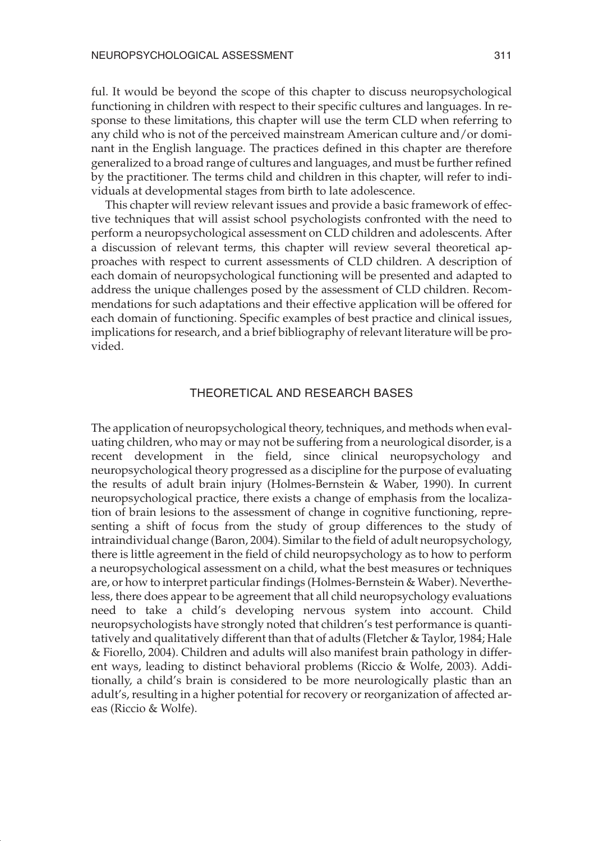ful. It would be beyond the scope of this chapter to discuss neuropsychological functioning in children with respect to their specific cultures and languages. In response to these limitations, this chapter will use the term CLD when referring to any child who is not of the perceived mainstream American culture and/or dominant in the English language. The practices defined in this chapter are therefore generalized to a broad range of cultures and languages, and must be further refined by the practitioner. The terms child and children in this chapter, will refer to individuals at developmental stages from birth to late adolescence.

This chapter will review relevant issues and provide a basic framework of effective techniques that will assist school psychologists confronted with the need to perform a neuropsychological assessment on CLD children and adolescents. After a discussion of relevant terms, this chapter will review several theoretical approaches with respect to current assessments of CLD children. A description of each domain of neuropsychological functioning will be presented and adapted to address the unique challenges posed by the assessment of CLD children. Recommendations for such adaptations and their effective application will be offered for each domain of functioning. Specific examples of best practice and clinical issues, implications for research, and a brief bibliography of relevant literature will be provided.

#### THEORETICAL AND RESEARCH BASES

The application of neuropsychological theory, techniques, and methods when evaluating children, who may or may not be suffering from a neurological disorder, is a recent development in the field, since clinical neuropsychology and neuropsychological theory progressed as a discipline for the purpose of evaluating the results of adult brain injury (Holmes-Bernstein & Waber, 1990). In current neuropsychological practice, there exists a change of emphasis from the localization of brain lesions to the assessment of change in cognitive functioning, representing a shift of focus from the study of group differences to the study of intraindividual change (Baron, 2004). Similar to the field of adult neuropsychology, there is little agreement in the field of child neuropsychology as to how to perform a neuropsychological assessment on a child, what the best measures or techniques are, or how to interpret particular findings (Holmes-Bernstein & Waber). Nevertheless, there does appear to be agreement that all child neuropsychology evaluations need to take a child's developing nervous system into account. Child neuropsychologists have strongly noted that children's test performance is quantitatively and qualitatively different than that of adults (Fletcher & Taylor, 1984; Hale & Fiorello, 2004). Children and adults will also manifest brain pathology in different ways, leading to distinct behavioral problems (Riccio & Wolfe, 2003). Additionally, a child's brain is considered to be more neurologically plastic than an adult's, resulting in a higher potential for recovery or reorganization of affected areas (Riccio & Wolfe). GIGAL ASSESSMENT<br>wyond the scope of this chapter to discuss<br>then with respect to their specific cultures<br>itations, this chapter will use the term CI<br>of the perceived mainteran American chere in this<br>language. The practices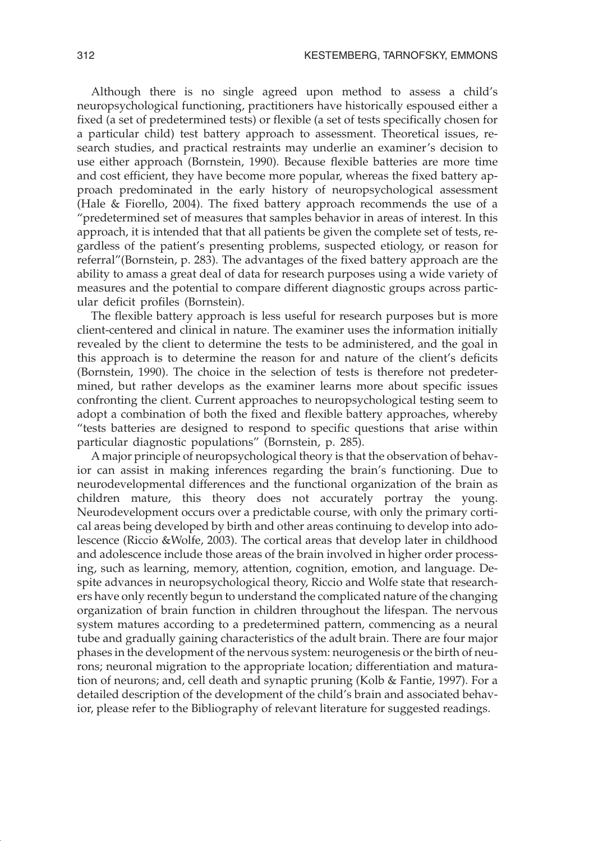Although there is no single agreed upon method to assess a child's neuropsychological functioning, practitioners have historically espoused either a fixed (a set of predetermined tests) or flexible (a set of tests specifically chosen for a particular child) test battery approach to assessment. Theoretical issues, research studies, and practical restraints may underlie an examiner's decision to use either approach (Bornstein, 1990). Because flexible batteries are more time and cost efficient, they have become more popular, whereas the fixed battery approach predominated in the early history of neuropsychological assessment (Hale & Fiorello, 2004). The fixed battery approach recommends the use of a "predetermined set of measures that samples behavior in areas of interest. In this approach, it is intended that that all patients be given the complete set of tests, regardless of the patient's presenting problems, suspected etiology, or reason for referral"(Bornstein, p. 283). The advantages of the fixed battery approach are the ability to amass a great deal of data for research purposes using a wide variety of measures and the potential to compare different diagnostic groups across particular deficit profiles (Bornstein).

The flexible battery approach is less useful for research purposes but is more client-centered and clinical in nature. The examiner uses the information initially revealed by the client to determine the tests to be administered, and the goal in this approach is to determine the reason for and nature of the client's deficits (Bornstein, 1990). The choice in the selection of tests is therefore not predetermined, but rather develops as the examiner learns more about specific issues confronting the client. Current approaches to neuropsychological testing seem to adopt a combination of both the fixed and flexible battery approaches, whereby "tests batteries are designed to respond to specific questions that arise within particular diagnostic populations" (Bornstein, p. 285).

A major principle of neuropsychological theory is that the observation of behavior can assist in making inferences regarding the brain's functioning. Due to neurodevelopmental differences and the functional organization of the brain as children mature, this theory does not accurately portray the young. Neurodevelopment occurs over a predictable course, with only the primary cortical areas being developed by birth and other areas continuing to develop into adolescence (Riccio &Wolfe, 2003). The cortical areas that develop later in childhood and adolescence include those areas of the brain involved in higher order processing, such as learning, memory, attention, cognition, emotion, and language. Despite advances in neuropsychological theory, Riccio and Wolfe state that researchers have only recently begun to understand the complicated nature of the changing organization of brain function in children throughout the lifespan. The nervous system matures according to a predetermined pattern, commencing as a neural tube and gradually gaining characteristics of the adult brain. There are four major phases in the development of the nervous system: neurogenesis or the birth of neurons; neuronal migration to the appropriate location; differentiation and maturation of neurons; and, cell death and synaptic pruning (Kolb & Fantie, 1997). For a detailed description of the development of the child's brain and associated behavior, please refer to the Bibliography of relevant literature for suggested readings. KESTEMBERG, TAR<br>
incritoning, practitioners have historically<br>
minical tests) or flexible (a set of tests speed<br>
at battery approach to assessment. Theer<br>
different paper and the measurement of the set of the set of the st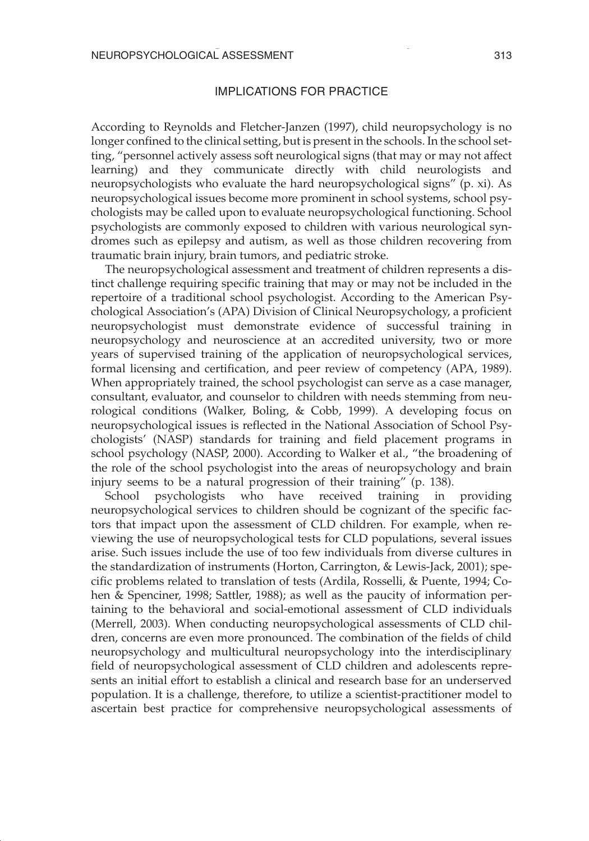### IMPLICATIONS FOR PRACTICE

Laura B Kestemberg Ph.D - James E. Tobin Library - 13/12/2017

According to Reynolds and Fletcher-Janzen (1997), child neuropsychology is no longer confined to the clinical setting, but is present in the schools. In the school setting, "personnel actively assess soft neurological signs (that may or may not affect learning) and they communicate directly with child neurologists and neuropsychologists who evaluate the hard neuropsychological signs" (p. xi). As neuropsychological issues become more prominent in school systems, school psychologists may be called upon to evaluate neuropsychological functioning. School psychologists are commonly exposed to children with various neurological syndromes such as epilepsy and autism, as well as those children recovering from traumatic brain injury, brain tumors, and pediatric stroke.

The neuropsychological assessment and treatment of children represents a distinct challenge requiring specific training that may or may not be included in the repertoire of a traditional school psychologist. According to the American Psychological Association's (APA) Division of Clinical Neuropsychology, a proficient neuropsychologist must demonstrate evidence of successful training in neuropsychology and neuroscience at an accredited university, two or more years of supervised training of the application of neuropsychological services, formal licensing and certification, and peer review of competency (APA, 1989). When appropriately trained, the school psychologist can serve as a case manager, consultant, evaluator, and counselor to children with needs stemming from neurological conditions (Walker, Boling, & Cobb, 1999). A developing focus on neuropsychological issues is reflected in the National Association of School Psychologists' (NASP) standards for training and field placement programs in school psychology (NASP, 2000). According to Walker et al., "the broadening of the role of the school psychologist into the areas of neuropsychology and brain injury seems to be a natural progression of their training" (p. 138). GIGAL ASSESSMENT<br>
IMPLICATIONS FOR PRACTICE<br>
IONS and Fletcher-Janzen (1997), child nee<br>
dividely assess of the<br>
networp sasses of the state of the state of the state of the state<br>
tively communicate the large large that h

School psychologists who have received training in providing neuropsychological services to children should be cognizant of the specific factors that impact upon the assessment of CLD children. For example, when reviewing the use of neuropsychological tests for CLD populations, several issues arise. Such issues include the use of too few individuals from diverse cultures in the standardization of instruments (Horton, Carrington, & Lewis-Jack, 2001); specific problems related to translation of tests (Ardila, Rosselli, & Puente, 1994; Cohen & Spenciner, 1998; Sattler, 1988); as well as the paucity of information pertaining to the behavioral and social-emotional assessment of CLD individuals (Merrell, 2003). When conducting neuropsychological assessments of CLD children, concerns are even more pronounced. The combination of the fields of child neuropsychology and multicultural neuropsychology into the interdisciplinary field of neuropsychological assessment of CLD children and adolescents represents an initial effort to establish a clinical and research base for an underserved population. It is a challenge, therefore, to utilize a scientist-practitioner model to ascertain best practice for comprehensive neuropsychological assessments of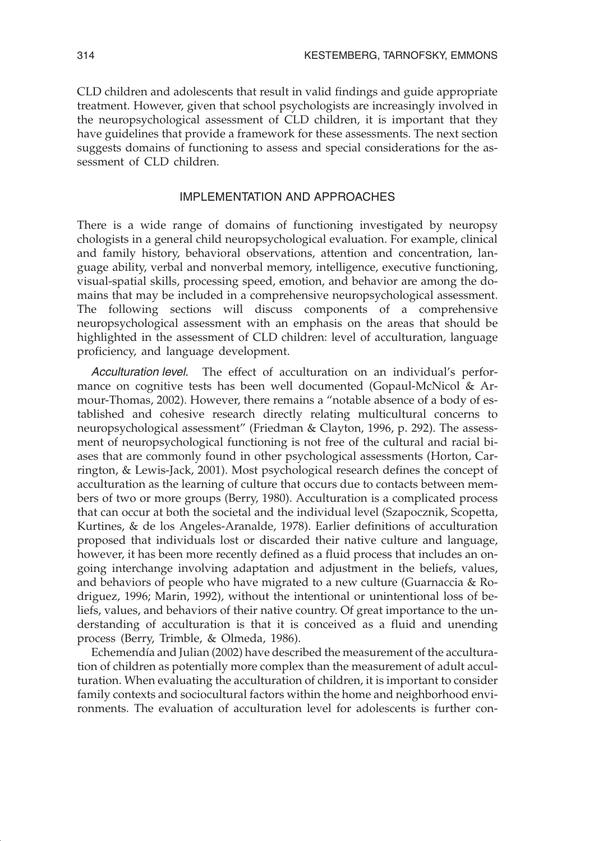CLD children and adolescents that result in valid findings and guide appropriate treatment. However, given that school psychologists are increasingly involved in the neuropsychological assessment of CLD children, it is important that they have guidelines that provide a framework for these assessments. The next section suggests domains of functioning to assess and special considerations for the assessment of CLD children.

#### IMPLEMENTATION AND APPROACHES

There is a wide range of domains of functioning investigated by neuropsy chologists in a general child neuropsychological evaluation. For example, clinical and family history, behavioral observations, attention and concentration, language ability, verbal and nonverbal memory, intelligence, executive functioning, visual-spatial skills, processing speed, emotion, and behavior are among the domains that may be included in a comprehensive neuropsychological assessment. The following sections will discuss components of a comprehensive neuropsychological assessment with an emphasis on the areas that should be highlighted in the assessment of CLD children: level of acculturation, language proficiency, and language development.

Acculturation level. The effect of acculturation on an individual's performance on cognitive tests has been well documented (Gopaul-McNicol & Armour-Thomas, 2002). However, there remains a "notable absence of a body of established and cohesive research directly relating multicultural concerns to neuropsychological assessment" (Friedman & Clayton, 1996, p. 292). The assessment of neuropsychological functioning is not free of the cultural and racial biases that are commonly found in other psychological assessments (Horton, Carrington, & Lewis-Jack, 2001). Most psychological research defines the concept of acculturation as the learning of culture that occurs due to contacts between members of two or more groups (Berry, 1980). Acculturation is a complicated process that can occur at both the societal and the individual level (Szapocznik, Scopetta, Kurtines, & de los Angeles-Aranalde, 1978). Earlier definitions of acculturation proposed that individuals lost or discarded their native culture and language, however, it has been more recently defined as a fluid process that includes an ongoing interchange involving adaptation and adjustment in the beliefs, values, and behaviors of people who have migrated to a new culture (Guarnaccia & Rodriguez, 1996; Marin, 1992), without the intentional or unintentional loss of beliefs, values, and behaviors of their native country. Of great importance to the understanding of acculturation is that it is conceived as a fluid and unending process (Berry, Trimble, & Olmeda, 1986). KESTEMBERG, TAR<br>
bescents that result in valid findings and<br>
given that school psychologists are increa<br>
and assessment of CLD children, it is im<br>
rorovide a framework for these assessment<br>
ldren.<br>
MrLEMENTATION AND APPROA

Echemendía and Julian (2002) have described the measurement of the acculturation of children as potentially more complex than the measurement of adult acculturation. When evaluating the acculturation of children, it is important to consider family contexts and sociocultural factors within the home and neighborhood environments. The evaluation of acculturation level for adolescents is further con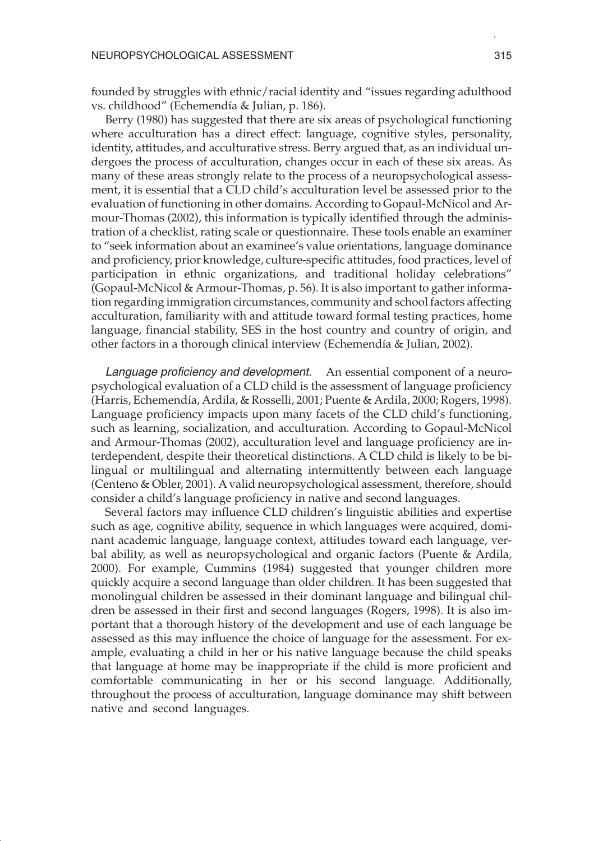founded by struggles with ethnic/racial identity and "issues regarding adulthood vs. childhood" (Echemendía & Julian, p. 186).

Laura B Kestemberg Ph.D - James E. Tobin Library - 13/12/2017

Berry (1980) has suggested that there are six areas of psychological functioning where acculturation has a direct effect: language, cognitive styles, personality, identity, attitudes, and acculturative stress. Berry argued that, as an individual undergoes the process of acculturation, changes occur in each of these six areas. As many of these areas strongly relate to the process of a neuropsychological assessment, it is essential that a CLD child's acculturation level be assessed prior to the evaluation of functioning in other domains. According to Gopaul-McNicol and Armour-Thomas (2002), this information is typically identified through the administration of a checklist, rating scale or questionnaire. These tools enable an examiner to "seek information about an examinee's value orientations, language dominance and proficiency, prior knowledge, culture-specific attitudes, food practices, level of participation in ethnic organizations, and traditional holiday celebrations" (Gopaul-McNicol & Armour-Thomas, p. 56). It is also important to gather information regarding immigration circumstances, community and school factors affecting acculturation, familiarity with and attitude toward formal testing practices, home language, financial stability, SES in the host country and country of origin, and other factors in a thorough clinical interview (Echemendía & Julian, 2002). GICAL ASSESSMENT<br>
res with ethnic/racial identity and "issues<br>
cenemedia & Julian, p. 186).<br>
suggested that there are six areas of psych<br>
m has a direct effect: language, cognitive<br>
and acculturation, changes occur in each

Language proficiency and development. An essential component of a neuropsychological evaluation of a CLD child is the assessment of language proficiency (Harris, Echemendía, Ardila, & Rosselli, 2001; Puente & Ardila, 2000; Rogers, 1998). Language proficiency impacts upon many facets of the CLD child's functioning, such as learning, socialization, and acculturation. According to Gopaul-McNicol and Armour-Thomas (2002), acculturation level and language proficiency are interdependent, despite their theoretical distinctions. A CLD child is likely to be bilingual or multilingual and alternating intermittently between each language (Centeno & Obler, 2001). A valid neuropsychological assessment, therefore, should consider a child's language proficiency in native and second languages.

Several factors may influence CLD children's linguistic abilities and expertise such as age, cognitive ability, sequence in which languages were acquired, dominant academic language, language context, attitudes toward each language, verbal ability, as well as neuropsychological and organic factors (Puente & Ardila, 2000). For example, Cummins (1984) suggested that younger children more quickly acquire a second language than older children. It has been suggested that monolingual children be assessed in their dominant language and bilingual children be assessed in their first and second languages (Rogers, 1998). It is also important that a thorough history of the development and use of each language be assessed as this may influence the choice of language for the assessment. For example, evaluating a child in her or his native language because the child speaks that language at home may be inappropriate if the child is more proficient and comfortable communicating in her or his second language. Additionally, throughout the process of acculturation, language dominance may shift between native and second languages.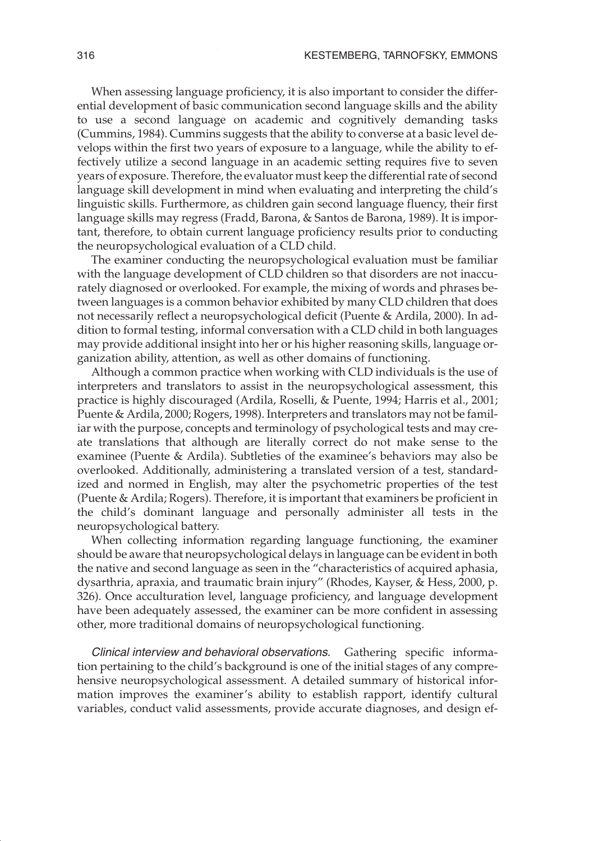When assessing language proficiency, it is also important to consider the differential development of basic communication second language skills and the ability to use a second language on academic and cognitively demanding tasks (Cummins, 1984). Cummins suggests that the ability to converse at a basic level develops within the first two years of exposure to a language, while the ability to effectively utilize a second language in an academic setting requires five to seven years of exposure. Therefore, the evaluator must keep the differential rate of second language skill development in mind when evaluating and interpreting the child's linguistic skills. Furthermore, as children gain second language fluency, their first language skills may regress (Fradd, Barona, & Santos de Barona, 1989). It is important, therefore, to obtain current language proficiency results prior to conducting the neuropsychological evaluation of a CLD child.

Laura B Kestemberg Ph.D - James E. Tobin Library - 13/12/2017

The examiner conducting the neuropsychological evaluation must be familiar with the language development of CLD children so that disorders are not inaccurately diagnosed or overlooked. For example, the mixing of words and phrases between languages is a common behavior exhibited by many CLD children that does not necessarily reflect a neuropsychological deficit (Puente & Ardila, 2000). In addition to formal testing, informal conversation with a CLD child in both languages may provide additional insight into her or his higher reasoning skills, language organization ability, attention, as well as other domains of functioning.

Although a common practice when working with CLD individuals is the use of interpreters and translators to assist in the neuropsychological assessment, this practice is highly discouraged (Ardila, Roselli, & Puente, 1994; Harris et al., 2001; Puente & Ardila, 2000; Rogers, 1998). Interpreters and translators may not be familiar with the purpose, concepts and terminology of psychological tests and may create translations that although are literally correct do not make sense to the examinee (Puente & Ardila). Subtleties of the examinee's behaviors may also be overlooked. Additionally, administering a translated version of a test, standardized and normed in English, may alter the psychometric properties of the test (Puente & Ardila; Rogers). Therefore, it is important that examiners be proficient in the child's dominant language and personally administer all tests in the neuropsychological battery. KESTEMBERG, TAR<br>
nguage proficiency, it is also important to chasic communication second language shapes that the ability to converse<br>
numins suggests that the ability to converse the variance in the string reprefore, the

When collecting information regarding language functioning, the examiner should be aware that neuropsychological delays in language can be evident in both the native and second language as seen in the "characteristics of acquired aphasia, dysarthria, apraxia, and traumatic brain injury" (Rhodes, Kayser, & Hess, 2000, p. 326). Once acculturation level, language proficiency, and language development have been adequately assessed, the examiner can be more confident in assessing other, more traditional domains of neuropsychological functioning.

Clinical interview and behavioral observations. Gathering specific information pertaining to the child's background is one of the initial stages of any comprehensive neuropsychological assessment. A detailed summary of historical information improves the examiner's ability to establish rapport, identify cultural variables, conduct valid assessments, provide accurate diagnoses, and design ef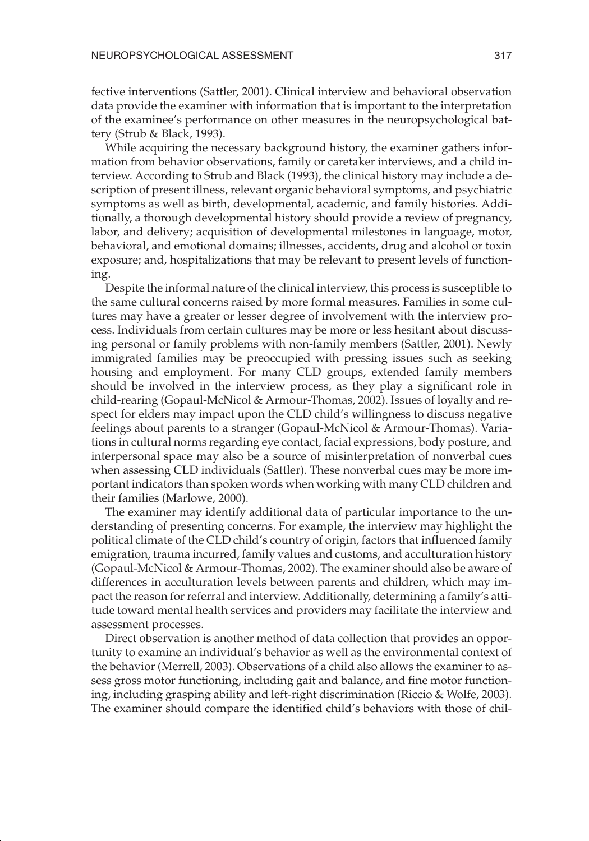fective interventions (Sattler, 2001). Clinical interview and behavioral observation data provide the examiner with information that is important to the interpretation of the examinee's performance on other measures in the neuropsychological battery (Strub & Black, 1993).

Laura B Kestemberg Ph.D - James E. Tobin Library - 13/12/2017

While acquiring the necessary background history, the examiner gathers information from behavior observations, family or caretaker interviews, and a child interview. According to Strub and Black (1993), the clinical history may include a description of present illness, relevant organic behavioral symptoms, and psychiatric symptoms as well as birth, developmental, academic, and family histories. Additionally, a thorough developmental history should provide a review of pregnancy, labor, and delivery; acquisition of developmental milestones in language, motor, behavioral, and emotional domains; illnesses, accidents, drug and alcohol or toxin exposure; and, hospitalizations that may be relevant to present levels of functioning.

Despite the informal nature of the clinical interview, this process is susceptible to the same cultural concerns raised by more formal measures. Families in some cultures may have a greater or lesser degree of involvement with the interview process. Individuals from certain cultures may be more or less hesitant about discussing personal or family problems with non-family members (Sattler, 2001). Newly immigrated families may be preoccupied with pressing issues such as seeking housing and employment. For many CLD groups, extended family members should be involved in the interview process, as they play a significant role in child-rearing (Gopaul-McNicol & Armour-Thomas, 2002). Issues of loyalty and respect for elders may impact upon the CLD child's willingness to discuss negative feelings about parents to a stranger (Gopaul-McNicol & Armour-Thomas). Variations in cultural norms regarding eye contact, facial expressions, body posture, and interpersonal space may also be a source of misinterpretation of nonverbal cues when assessing CLD individuals (Sattler). These nonverbal cues may be more important indicators than spoken words when working with many CLD children and their families (Marlowe, 2000). GICAL ASSESSMENT<br>
18 (Sattler, 2001). Clinical interview and be anniner with information that is important<br>
1993). Clinical interview and be neurror to a the neurror of the mecassary background history, the exion observati

The examiner may identify additional data of particular importance to the understanding of presenting concerns. For example, the interview may highlight the political climate of the CLD child's country of origin, factors that influenced family emigration, trauma incurred, family values and customs, and acculturation history (Gopaul-McNicol & Armour-Thomas, 2002). The examiner should also be aware of differences in acculturation levels between parents and children, which may impact the reason for referral and interview. Additionally, determining a family's attitude toward mental health services and providers may facilitate the interview and assessment processes.

Direct observation is another method of data collection that provides an opportunity to examine an individual's behavior as well as the environmental context of the behavior (Merrell, 2003). Observations of a child also allows the examiner to assess gross motor functioning, including gait and balance, and fine motor functioning, including grasping ability and left-right discrimination (Riccio & Wolfe, 2003). The examiner should compare the identified child's behaviors with those of chil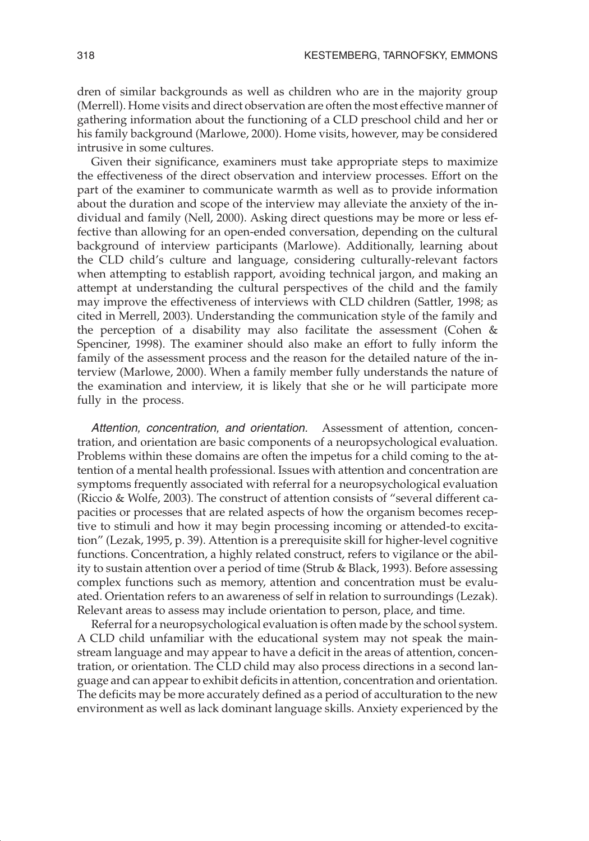dren of similar backgrounds as well as children who are in the majority group (Merrell). Home visits and direct observation are often the most effective manner of gathering information about the functioning of a CLD preschool child and her or his family background (Marlowe, 2000). Home visits, however, may be considered intrusive in some cultures.

Given their significance, examiners must take appropriate steps to maximize the effectiveness of the direct observation and interview processes. Effort on the part of the examiner to communicate warmth as well as to provide information about the duration and scope of the interview may alleviate the anxiety of the individual and family (Nell, 2000). Asking direct questions may be more or less effective than allowing for an open-ended conversation, depending on the cultural background of interview participants (Marlowe). Additionally, learning about the CLD child's culture and language, considering culturally-relevant factors when attempting to establish rapport, avoiding technical jargon, and making an attempt at understanding the cultural perspectives of the child and the family may improve the effectiveness of interviews with CLD children (Sattler, 1998; as cited in Merrell, 2003). Understanding the communication style of the family and the perception of a disability may also facilitate the assessment (Cohen  $\&$ Spenciner, 1998). The examiner should also make an effort to fully inform the family of the assessment process and the reason for the detailed nature of the interview (Marlowe, 2000). When a family member fully understands the nature of the examination and interview, it is likely that she or he will participate more fully in the process. KESTEMBERG, TAR<br>
mounds as well as children who are in that<br>
and direct observation are often the most<br>
a hout the functioning of a CLD preschoot<br>
(Marlowe, 2000). Home visits, however, the<br>
diff (Marlowe, 2000). Home visi

Attention, concentration, and orientation. Assessment of attention, concentration, and orientation are basic components of a neuropsychological evaluation. Problems within these domains are often the impetus for a child coming to the attention of a mental health professional. Issues with attention and concentration are symptoms frequently associated with referral for a neuropsychological evaluation (Riccio & Wolfe, 2003). The construct of attention consists of "several different capacities or processes that are related aspects of how the organism becomes receptive to stimuli and how it may begin processing incoming or attended-to excitation" (Lezak, 1995, p. 39). Attention is a prerequisite skill for higher-level cognitive functions. Concentration, a highly related construct, refers to vigilance or the ability to sustain attention over a period of time (Strub & Black, 1993). Before assessing complex functions such as memory, attention and concentration must be evaluated. Orientation refers to an awareness of self in relation to surroundings (Lezak). Relevant areas to assess may include orientation to person, place, and time.

Referral for a neuropsychological evaluation is often made by the school system. A CLD child unfamiliar with the educational system may not speak the mainstream language and may appear to have a deficit in the areas of attention, concentration, or orientation. The CLD child may also process directions in a second language and can appear to exhibit deficits in attention, concentration and orientation. The deficits may be more accurately defined as a period of acculturation to the new environment as well as lack dominant language skills. Anxiety experienced by the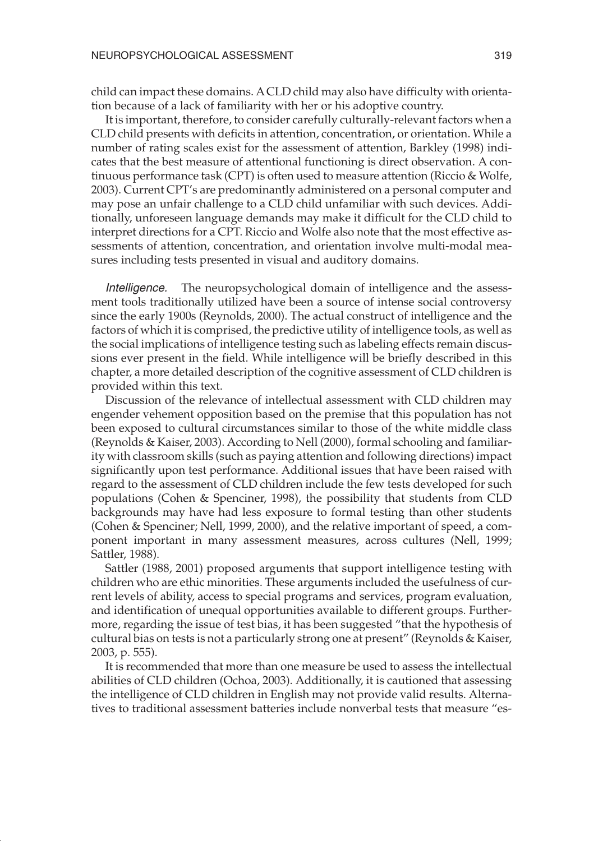child can impact these domains. A CLD child may also have difficulty with orientation because of a lack of familiarity with her or his adoptive country.

It is important, therefore, to consider carefully culturally-relevant factors when a CLD child presents with deficits in attention, concentration, or orientation. While a number of rating scales exist for the assessment of attention, Barkley (1998) indicates that the best measure of attentional functioning is direct observation. A continuous performance task (CPT) is often used to measure attention (Riccio & Wolfe, 2003). Current CPT's are predominantly administered on a personal computer and may pose an unfair challenge to a CLD child unfamiliar with such devices. Additionally, unforeseen language demands may make it difficult for the CLD child to interpret directions for a CPT. Riccio and Wolfe also note that the most effective assessments of attention, concentration, and orientation involve multi-modal measures including tests presented in visual and auditory domains.

Intelligence. The neuropsychological domain of intelligence and the assessment tools traditionally utilized have been a source of intense social controversy since the early 1900s (Reynolds, 2000). The actual construct of intelligence and the factors of which it is comprised, the predictive utility of intelligence tools, as well as the social implications of intelligence testing such as labeling effects remain discussions ever present in the field. While intelligence will be briefly described in this chapter, a more detailed description of the cognitive assessment of CLD children is provided within this text.

Discussion of the relevance of intellectual assessment with CLD children may engender vehement opposition based on the premise that this population has not been exposed to cultural circumstances similar to those of the white middle class (Reynolds & Kaiser, 2003). According to Nell (2000), formal schooling and familiarity with classroom skills (such as paying attention and following directions) impact significantly upon test performance. Additional issues that have been raised with regard to the assessment of CLD children include the few tests developed for such populations (Cohen & Spenciner, 1998), the possibility that students from CLD backgrounds may have had less exposure to formal testing than other students (Cohen & Spenciner; Nell, 1999, 2000), and the relative important of speed, a component important in many assessment measures, across cultures (Nell, 1999; Sattler, 1988). GICAL ASSESSMENT<br>
ese domains. A CLD child may also have de k of familiantity with her or his adoptive enterfore, to consider carefully culturally-re with deficitis in altention, concentration, oncentration, once these cas

Sattler (1988, 2001) proposed arguments that support intelligence testing with children who are ethic minorities. These arguments included the usefulness of current levels of ability, access to special programs and services, program evaluation, and identification of unequal opportunities available to different groups. Furthermore, regarding the issue of test bias, it has been suggested "that the hypothesis of cultural bias on tests is not a particularly strong one at present" (Reynolds & Kaiser, 2003, p. 555).

It is recommended that more than one measure be used to assess the intellectual abilities of CLD children (Ochoa, 2003). Additionally, it is cautioned that assessing the intelligence of CLD children in English may not provide valid results. Alternatives to traditional assessment batteries include nonverbal tests that measure "es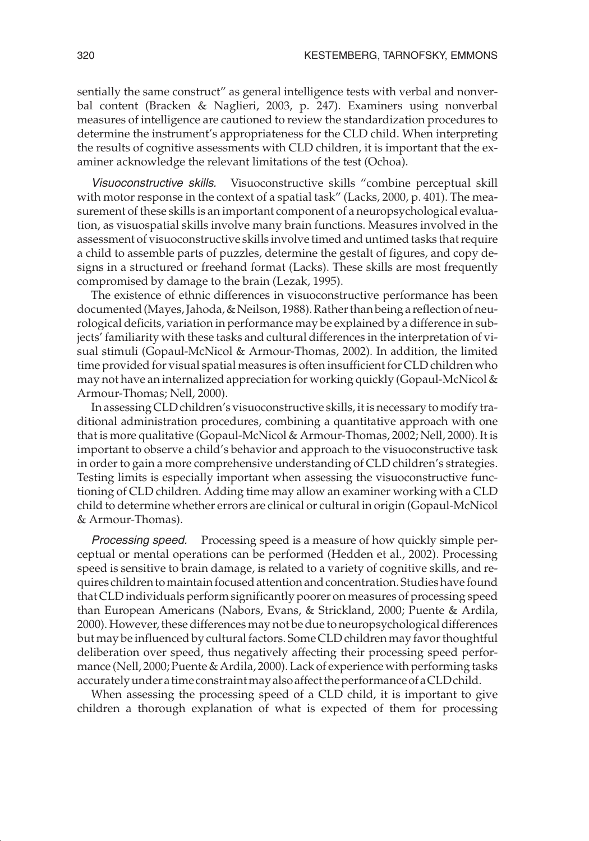sentially the same construct" as general intelligence tests with verbal and nonverbal content (Bracken & Naglieri, 2003, p. 247). Examiners using nonverbal measures of intelligence are cautioned to review the standardization procedures to determine the instrument's appropriateness for the CLD child. When interpreting the results of cognitive assessments with CLD children, it is important that the examiner acknowledge the relevant limitations of the test (Ochoa).

Visuoconstructive skills. Visuoconstructive skills "combine perceptual skill with motor response in the context of a spatial task" (Lacks, 2000, p. 401). The measurement of these skills is an important component of a neuropsychological evaluation, as visuospatial skills involve many brain functions. Measures involved in the assessment of visuoconstructive skills involve timed and untimed tasks that require a child to assemble parts of puzzles, determine the gestalt of figures, and copy designs in a structured or freehand format (Lacks). These skills are most frequently compromised by damage to the brain (Lezak, 1995).

The existence of ethnic differences in visuoconstructive performance has been documented (Mayes, Jahoda, & Neilson, 1988). Rather than being a reflection of neurological deficits, variation in performance may be explained by a difference in subjects' familiarity with these tasks and cultural differences in the interpretation of visual stimuli (Gopaul-McNicol & Armour-Thomas, 2002). In addition, the limited time provided for visual spatial measures is often insufficient for CLD children who may not have an internalized appreciation for working quickly (Gopaul-McNicol & Armour-Thomas; Nell, 2000).

In assessing CLD children's visuoconstructive skills, it is necessary to modify traditional administration procedures, combining a quantitative approach with one that is more qualitative (Gopaul-McNicol & Armour-Thomas, 2002; Nell, 2000). It is important to observe a child's behavior and approach to the visuoconstructive task in order to gain a more comprehensive understanding of CLD children's strategies. Testing limits is especially important when assessing the visuoconstructive functioning of CLD children. Adding time may allow an examiner working with a CLD child to determine whether errors are clinical or cultural in origin (Gopaul-McNicol & Armour-Thomas).

Processing speed. Processing speed is a measure of how quickly simple perceptual or mental operations can be performed (Hedden et al., 2002). Processing speed is sensitive to brain damage, is related to a variety of cognitive skills, and requires children to maintain focused attention and concentration. Studies have found that CLD individuals perform significantly poorer on measures of processing speed than European Americans (Nabors, Evans, & Strickland, 2000; Puente & Ardila, 2000). However, these differences may not be due to neuropsychological differences but may be influenced by cultural factors. Some CLD children may favor thoughtful deliberation over speed, thus negatively affecting their processing speed performance (Nell, 2000; Puente & Ardila, 2000). Lack of experience with performing tasks accuratelyunderatimeconstraintmayalsoaffecttheperformanceofaCLDchild. KESTEMBERG, TAR<br>
istruct" as general intelligence tests with v<br>
is & Naglieri, 2003, p. 247). Examiners<br>
ce are cautioned to review the standardiza<br>
enterative appropriateness for the CLD childer. It is imple-<br>
the relevan

When assessing the processing speed of a CLD child, it is important to give children a thorough explanation of what is expected of them for processing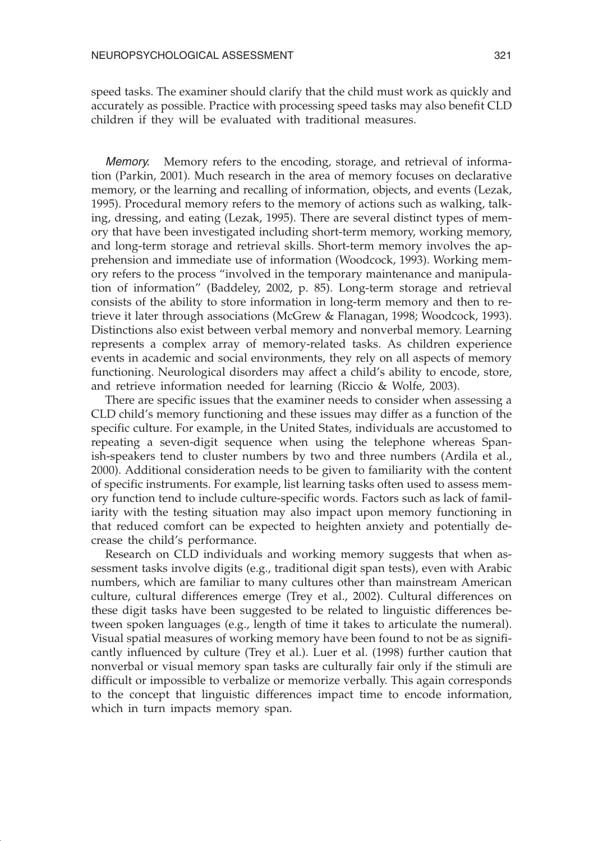speed tasks. The examiner should clarify that the child must work as quickly and accurately as possible. Practice with processing speed tasks may also benefit CLD children if they will be evaluated with traditional measures.

Laura B Kestemberg Ph.D - James E. Tobin Library - 13/12/2017

Memory. Memory refers to the encoding, storage, and retrieval of information (Parkin, 2001). Much research in the area of memory focuses on declarative memory, or the learning and recalling of information, objects, and events (Lezak, 1995). Procedural memory refers to the memory of actions such as walking, talking, dressing, and eating (Lezak, 1995). There are several distinct types of memory that have been investigated including short-term memory, working memory, and long-term storage and retrieval skills. Short-term memory involves the apprehension and immediate use of information (Woodcock, 1993). Working memory refers to the process "involved in the temporary maintenance and manipulation of information" (Baddeley, 2002, p. 85). Long-term storage and retrieval consists of the ability to store information in long-term memory and then to retrieve it later through associations (McGrew & Flanagan, 1998; Woodcock, 1993). Distinctions also exist between verbal memory and nonverbal memory. Learning represents a complex array of memory-related tasks. As children experience events in academic and social environments, they rely on all aspects of memory functioning. Neurological disorders may affect a child's ability to encode, store, and retrieve information needed for learning (Riccio & Wolfe, 2003). GICAL ASSESSMENT<br>aminer should clarify that the child must<br>ble. Practice with processing speed tasks rill be vealuated with traditional measur<br>ory refers to the encoding, storage, and<br>Much research in the area of memory fo

There are specific issues that the examiner needs to consider when assessing a CLD child's memory functioning and these issues may differ as a function of the specific culture. For example, in the United States, individuals are accustomed to repeating a seven-digit sequence when using the telephone whereas Spanish-speakers tend to cluster numbers by two and three numbers (Ardila et al., 2000). Additional consideration needs to be given to familiarity with the content of specific instruments. For example, list learning tasks often used to assess memory function tend to include culture-specific words. Factors such as lack of familiarity with the testing situation may also impact upon memory functioning in that reduced comfort can be expected to heighten anxiety and potentially decrease the child's performance.

Research on CLD individuals and working memory suggests that when assessment tasks involve digits (e.g., traditional digit span tests), even with Arabic numbers, which are familiar to many cultures other than mainstream American culture, cultural differences emerge (Trey et al., 2002). Cultural differences on these digit tasks have been suggested to be related to linguistic differences between spoken languages (e.g., length of time it takes to articulate the numeral). Visual spatial measures of working memory have been found to not be as significantly influenced by culture (Trey et al.). Luer et al. (1998) further caution that nonverbal or visual memory span tasks are culturally fair only if the stimuli are difficult or impossible to verbalize or memorize verbally. This again corresponds to the concept that linguistic differences impact time to encode information, which in turn impacts memory span.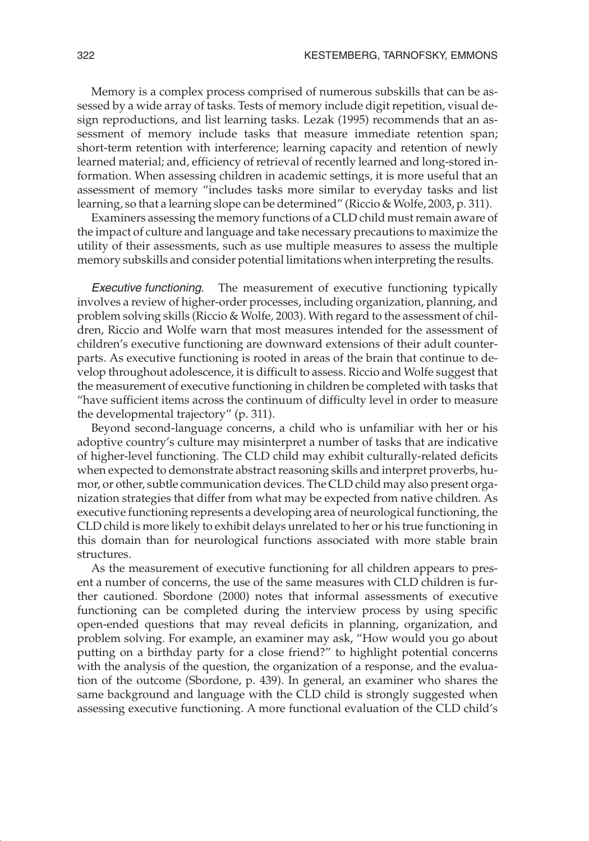Memory is a complex process comprised of numerous subskills that can be assessed by a wide array of tasks. Tests of memory include digit repetition, visual design reproductions, and list learning tasks. Lezak (1995) recommends that an assessment of memory include tasks that measure immediate retention span; short-term retention with interference; learning capacity and retention of newly learned material; and, efficiency of retrieval of recently learned and long-stored information. When assessing children in academic settings, it is more useful that an assessment of memory "includes tasks more similar to everyday tasks and list learning, so that a learning slope can be determined" (Riccio & Wolfe, 2003, p. 311).

Laura B Kestemberg Ph.D - James E. Tobin Library - 13/12/2017

Examiners assessing the memory functions of a CLD child must remain aware of the impact of culture and language and take necessary precautions to maximize the utility of their assessments, such as use multiple measures to assess the multiple memory subskills and consider potential limitations when interpreting the results.

Executive functioning. The measurement of executive functioning typically involves a review of higher-order processes, including organization, planning, and problem solving skills (Riccio & Wolfe, 2003). With regard to the assessment of children, Riccio and Wolfe warn that most measures intended for the assessment of children's executive functioning are downward extensions of their adult counterparts. As executive functioning is rooted in areas of the brain that continue to develop throughout adolescence, it is difficult to assess. Riccio and Wolfe suggest that the measurement of executive functioning in children be completed with tasks that "have sufficient items across the continuum of difficulty level in order to measure the developmental trajectory" (p. 311).

Beyond second-language concerns, a child who is unfamiliar with her or his adoptive country's culture may misinterpret a number of tasks that are indicative of higher-level functioning. The CLD child may exhibit culturally-related deficits when expected to demonstrate abstract reasoning skills and interpret proverbs, humor, or other, subtle communication devices. The CLD child may also present organization strategies that differ from what may be expected from native children. As executive functioning represents a developing area of neurological functioning, the CLD child is more likely to exhibit delays unrelated to her or his true functioning in this domain than for neurological functions associated with more stable brain structures.

As the measurement of executive functioning for all children appears to present a number of concerns, the use of the same measures with CLD children is further cautioned. Sbordone (2000) notes that informal assessments of executive functioning can be completed during the interview process by using specific open-ended questions that may reveal deficits in planning, organization, and problem solving. For example, an examiner may ask, "How would you go about putting on a birthday party for a close friend?" to highlight potential concerns with the analysis of the question, the organization of a response, and the evaluation of the outcome (Sbordone, p. 439). In general, an examiner who shares the same background and language with the CLD child is strongly suggested when assessing executive functioning. A more functional evaluation of the CLD child's KESTEMBERG, TAR<br>
lex process comprised of numerous subsk<br>
of tasks. Tests of memory include digit req<br>
include tasks that measure inmediated in<br>
include tasks that measure inmediated in<br>
include tasks and the incomparison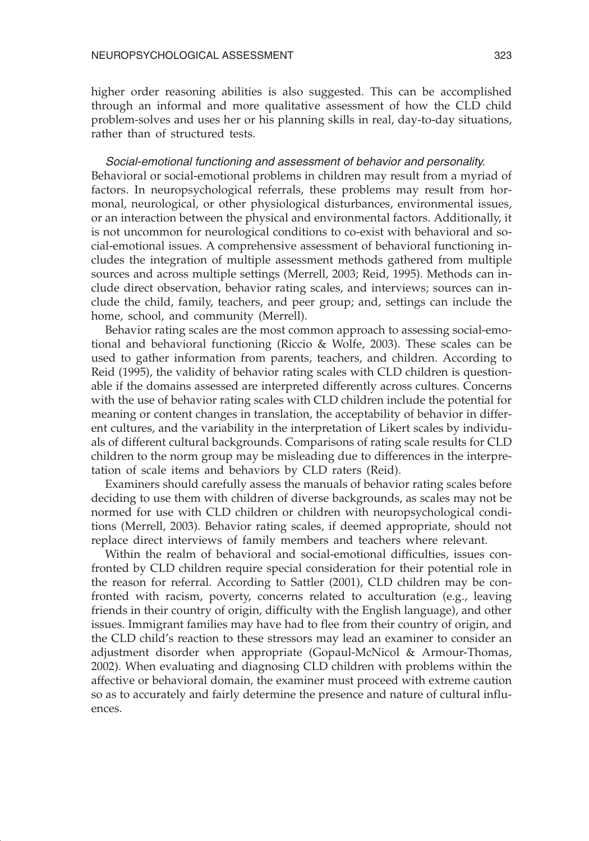higher order reasoning abilities is also suggested. This can be accomplished through an informal and more qualitative assessment of how the CLD child problem-solves and uses her or his planning skills in real, day-to-day situations, rather than of structured tests.

Laura B Kestemberg Ph.D - James E. Tobin Library - 13/12/2017

Social-emotional functioning and assessment of behavior and personality. Behavioral or social-emotional problems in children may result from a myriad of factors. In neuropsychological referrals, these problems may result from hormonal, neurological, or other physiological disturbances, environmental issues, or an interaction between the physical and environmental factors. Additionally, it is not uncommon for neurological conditions to co-exist with behavioral and social-emotional issues. A comprehensive assessment of behavioral functioning includes the integration of multiple assessment methods gathered from multiple sources and across multiple settings (Merrell, 2003; Reid, 1995). Methods can include direct observation, behavior rating scales, and interviews; sources can include the child, family, teachers, and peer group; and, settings can include the home, school, and community (Merrell). GICAL ASSESSMENT<br>
SIGCAL ASSESSMENT<br>
oning abilities is also suggested. This call and and more qualitative assessment of<br>
duses her or his planning skills in real, d<br>
clutured tests.<br>
If functioning and assessment of behav

Behavior rating scales are the most common approach to assessing social-emotional and behavioral functioning (Riccio & Wolfe, 2003). These scales can be used to gather information from parents, teachers, and children. According to Reid (1995), the validity of behavior rating scales with CLD children is questionable if the domains assessed are interpreted differently across cultures. Concerns with the use of behavior rating scales with CLD children include the potential for meaning or content changes in translation, the acceptability of behavior in different cultures, and the variability in the interpretation of Likert scales by individuals of different cultural backgrounds. Comparisons of rating scale results for CLD children to the norm group may be misleading due to differences in the interpretation of scale items and behaviors by CLD raters (Reid).

Examiners should carefully assess the manuals of behavior rating scales before deciding to use them with children of diverse backgrounds, as scales may not be normed for use with CLD children or children with neuropsychological conditions (Merrell, 2003). Behavior rating scales, if deemed appropriate, should not replace direct interviews of family members and teachers where relevant.

Within the realm of behavioral and social-emotional difficulties, issues confronted by CLD children require special consideration for their potential role in the reason for referral. According to Sattler (2001), CLD children may be confronted with racism, poverty, concerns related to acculturation (e.g., leaving friends in their country of origin, difficulty with the English language), and other issues. Immigrant families may have had to flee from their country of origin, and the CLD child's reaction to these stressors may lead an examiner to consider an adjustment disorder when appropriate (Gopaul-McNicol & Armour-Thomas, 2002). When evaluating and diagnosing CLD children with problems within the affective or behavioral domain, the examiner must proceed with extreme caution so as to accurately and fairly determine the presence and nature of cultural influences.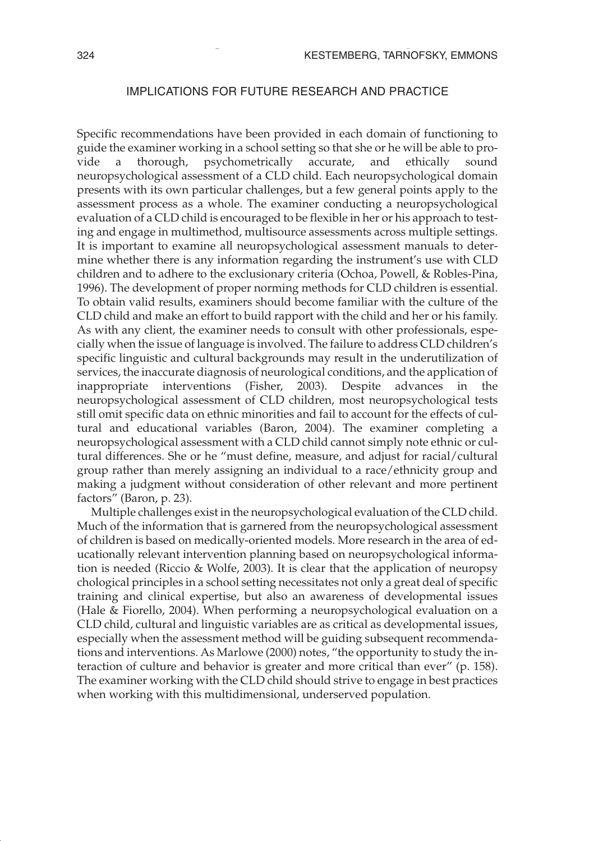### IMPLICATIONS FOR FUTURE RESEARCH AND PRACTICE

Laura B Kestemberg Ph.D - James E. Tobin Library - 13/12/2017

Specific recommendations have been provided in each domain of functioning to guide the examiner working in a school setting so that she or he will be able to provide a thorough, psychometrically accurate, and ethically sound neuropsychological assessment of a CLD child. Each neuropsychological domain presents with its own particular challenges, but a few general points apply to the assessment process as a whole. The examiner conducting a neuropsychological evaluation of a CLD child is encouraged to be flexible in her or his approach to testing and engage in multimethod, multisource assessments across multiple settings. It is important to examine all neuropsychological assessment manuals to determine whether there is any information regarding the instrument's use with CLD children and to adhere to the exclusionary criteria (Ochoa, Powell, & Robles-Pina, 1996). The development of proper norming methods for CLD children is essential. To obtain valid results, examiners should become familiar with the culture of the CLD child and make an effort to build rapport with the child and her or his family. As with any client, the examiner needs to consult with other professionals, especially when the issue of language is involved. The failure to address CLD children's specific linguistic and cultural backgrounds may result in the underutilization of services, the inaccurate diagnosis of neurological conditions, and the application of inappropriate interventions (Fisher, 2003). Despite advances in the neuropsychological assessment of CLD children, most neuropsychological tests still omit specific data on ethnic minorities and fail to account for the effects of cultural and educational variables (Baron, 2004). The examiner completing a neuropsychological assessment with a CLD child cannot simply note ethnic or cultural differences. She or he "must define, measure, and adjust for racial/cultural group rather than merely assigning an individual to a race/ethnicity group and making a judgment without consideration of other relevant and more pertinent factors" (Baron, p. 23). KESTEMBERG, TAR<br>
NONS FOR FUTURE RESEARCH AND PR<br>
tions have been provided in each domain<br>
conting in a school setting so that she or he<br>
psychometrically accurate, and<br>
psychometrically accurate, and<br>
paramer of a CLD chi

Multiple challenges exist in the neuropsychological evaluation of the CLD child. Much of the information that is garnered from the neuropsychological assessment of children is based on medically-oriented models. More research in the area of educationally relevant intervention planning based on neuropsychological information is needed (Riccio & Wolfe, 2003). It is clear that the application of neuropsy chological principles in a school setting necessitates not only a great deal of specific training and clinical expertise, but also an awareness of developmental issues (Hale & Fiorello, 2004). When performing a neuropsychological evaluation on a CLD child, cultural and linguistic variables are as critical as developmental issues, especially when the assessment method will be guiding subsequent recommendations and interventions. As Marlowe (2000) notes, "the opportunity to study the interaction of culture and behavior is greater and more critical than ever" (p. 158). The examiner working with the CLD child should strive to engage in best practices when working with this multidimensional, underserved population.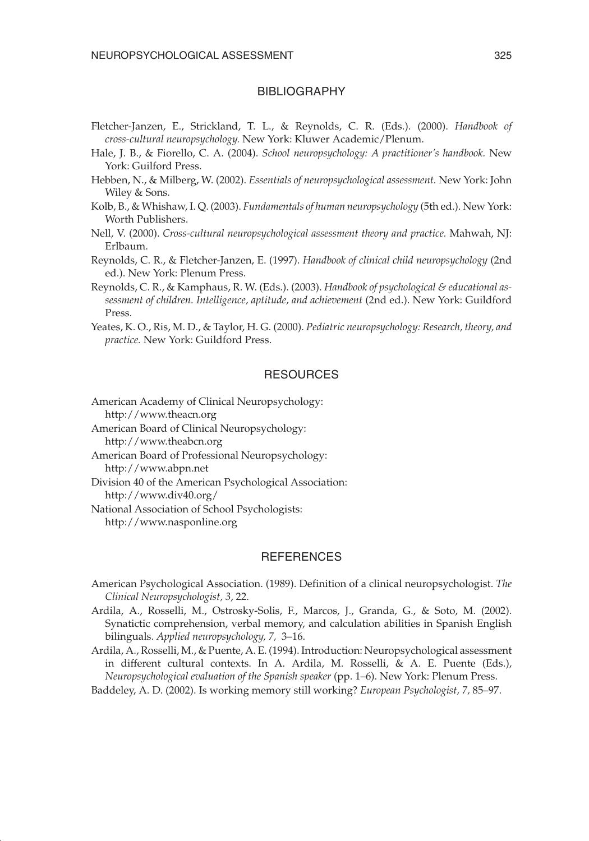#### BIBLIOGRAPHY

- Fletcher-Janzen, E., Strickland, T. L., & Reynolds, C. R. (Eds.). (2000). *Handbook of cross-cultural neuropsychology.* New York: Kluwer Academic/Plenum.
- Hale, J. B., & Fiorello, C. A. (2004). *School neuropsychology: A practitioner's handbook.* New York: Guilford Press.
- Hebben, N., & Milberg, W. (2002). *Essentials of neuropsychological assessment.* New York: John Wiley & Sons.
- Kolb, B., & Whishaw, I. Q. (2003). *Fundamentals of human neuropsychology* (5th ed.). New York: Worth Publishers.
- Nell, V. (2000). *Cross-cultural neuropsychological assessment theory and practice.* Mahwah, NJ: Erlbaum.
- Reynolds, C. R., & Fletcher-Janzen, E. (1997). *Handbook of clinical child neuropsychology* (2nd ed.). New York: Plenum Press.
- Reynolds, C. R., & Kamphaus, R. W. (Eds.). (2003). *Handbook of psychological & educational assessment of children. Intelligence, aptitude, and achievement* (2nd ed.). New York: Guildford Press.
- Yeates, K. O., Ris, M. D., & Taylor, H. G. (2000). *Pediatric neuropsychology: Research, theory, and practice.* New York: Guildford Press.

### **RESOURCES**

- American Academy of Clinical Neuropsychology: http://www.theacn.org
- American Board of Clinical Neuropsychology: http://www.theabcn.org
- American Board of Professional Neuropsychology:

http://www.abpn.net

- Division 40 of the American Psychological Association: http://www.div40.org/
- National Association of School Psychologists: http://www.nasponline.org

### **REFERENCES**

- American Psychological Association. (1989). Definition of a clinical neuropsychologist. *The Clinical Neuropsychologist, 3*, 22.
- Ardila, A., Rosselli, M., Ostrosky-Solis, F., Marcos, J., Granda, G., & Soto, M. (2002). Synatictic comprehension, verbal memory, and calculation abilities in Spanish English bilinguals. *Applied neuropsychology, 7,* 3–16.
- Ardila, A., Rosselli, M., & Puente, A. E. (1994). Introduction: Neuropsychological assessment in different cultural contexts. In A. Ardila, M. Rosselli, & A. E. Puente (Eds.), *Neuropsychological evaluation of the Spanish speaker* (pp. 1–6). New York: Plenum Press. GICAL ASSESSMENT<br>
BIBLIOGRAPHY<br>
Strickland, T. L., & Reynolds, C. R. (Eds.<br>
525 C. A. (2004). School neuropsychology: A pract<br>
5. C. A. (2004). School neuropsychological assessment<br>
1.Q. (2003). Fundamentals of numeropsych
- Baddeley, A. D. (2002). Is working memory still working? *European Psychologist, 7,* 85–97.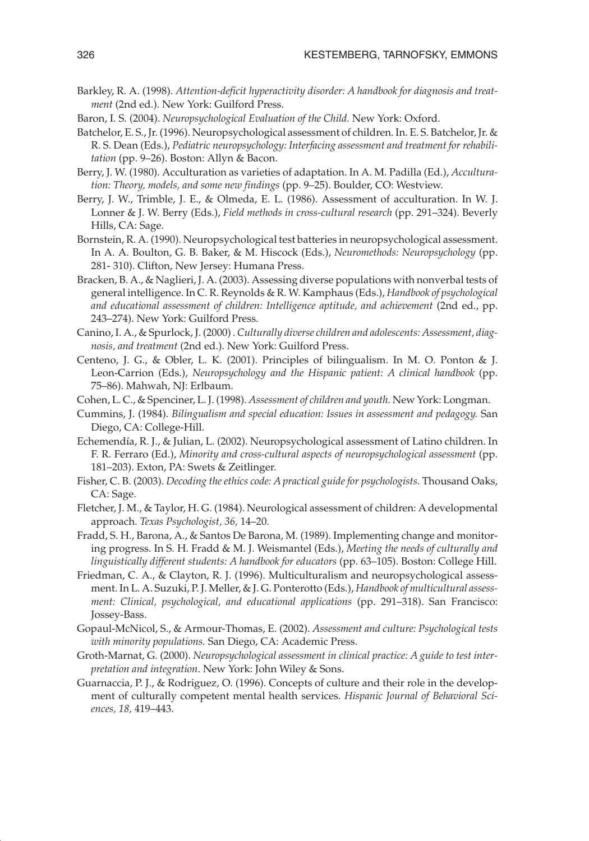- Barkley, R. A. (1998). *Attention-deficit hyperactivity disorder: A handbook for diagnosis and treatment* (2nd ed.). New York: Guilford Press.
- Baron, I. S. (2004). *Neuropsychological Evaluation of the Child.* New York: Oxford.
- Batchelor, E. S., Jr. (1996). Neuropsychological assessment of children. In. E. S. Batchelor, Jr. & R. S. Dean (Eds.), *Pediatric neuropsychology: Interfacing assessment and treatment for rehabilitation* (pp. 9–26). Boston: Allyn & Bacon.
- Berry, J. W. (1980). Acculturation as varieties of adaptation. In A. M. Padilla (Ed.), *Acculturation: Theory, models, and some new findings* (pp. 9–25). Boulder, CO: Westview.
- Berry, J. W., Trimble, J. E., & Olmeda, E. L. (1986). Assessment of acculturation. In W. J. Lonner & J. W. Berry (Eds.), *Field methods in cross-cultural research* (pp. 291–324). Beverly Hills, CA: Sage.
- Bornstein, R. A. (1990). Neuropsychological test batteries in neuropsychological assessment. In A. A. Boulton, G. B. Baker, & M. Hiscock (Eds.), *Neuromethods: Neuropsychology* (pp. 281- 310). Clifton, New Jersey: Humana Press.
- Bracken, B. A., & Naglieri, J. A. (2003). Assessing diverse populations with nonverbal tests of general intelligence. In C. R. Reynolds & R. W. Kamphaus (Eds.), *Handbook of psychological and educational assessment of children: Intelligence aptitude, and achievement* (2nd ed., pp. 243–274). New York: Guilford Press. KESTEMBERG, TAR<br>
rention-deficit Ingrenativity disorder: A handbook fy<br>
Strock: Guilford Press.<br>
Neuropsychological assessment of the Child. New York:<br>
Neuropsychological assessment of childen. In the Midric neuropsycholog
- Canino, I. A., & Spurlock, J. (2000) . *Culturally diverse children and adolescents: Assessment, diagnosis, and treatment* (2nd ed.). New York: Guilford Press.
- Centeno, J. G., & Obler, L. K. (2001). Principles of bilingualism. In M. O. Ponton & J. Leon-Carrion (Eds.), *Neuropsychology and the Hispanic patient: A clinical handbook* (pp. 75–86). Mahwah, NJ: Erlbaum.
- Cohen, L. C., & Spenciner, L. J. (1998). *Assessment of children and youth.* New York: Longman.
- Cummins, J. (1984). *Bilingualism and special education: Issues in assessment and pedagogy.* San Diego, CA: College-Hill.
- Echemendía, R. J., & Julian, L. (2002). Neuropsychological assessment of Latino children. In F. R. Ferraro (Ed.), *Minority and cross-cultural aspects of neuropsychological assessment* (pp. 181–203). Exton, PA: Swets & Zeitlinger.
- Fisher, C. B. (2003). *Decoding the ethics code: A practical guide for psychologists.* Thousand Oaks, CA: Sage.
- Fletcher, J. M., & Taylor, H. G. (1984). Neurological assessment of children: A developmental approach. *Texas Psychologist, 36,* 14–20.
- Fradd, S. H., Barona, A., & Santos De Barona, M. (1989). Implementing change and monitoring progress. In S. H. Fradd & M. J. Weismantel (Eds.), *Meeting the needs of culturally and linguistically different students: A handbook for educators* (pp. 63–105). Boston: College Hill.
- Friedman, C. A., & Clayton, R. J. (1996). Multiculturalism and neuropsychological assessment. In L. A. Suzuki, P. J. Meller, & J. G. Ponterotto (Eds.), *Handbook of multicultural assessment: Clinical, psychological, and educational applications* (pp. 291–318). San Francisco: Jossey-Bass.
- Gopaul-McNicol, S., & Armour-Thomas, E. (2002). *Assessment and culture: Psychological tests with minority populations.* San Diego, CA: Academic Press.
- Groth-Marnat, G. (2000). *Neuropsychological assessment in clinical practice: A guide to test interpretation and integration*. New York: John Wiley & Sons.
- Guarnaccia, P. J., & Rodriguez, O. (1996). Concepts of culture and their role in the development of culturally competent mental health services. *Hispanic Journal of Behavioral Sciences, 18,* 419–443.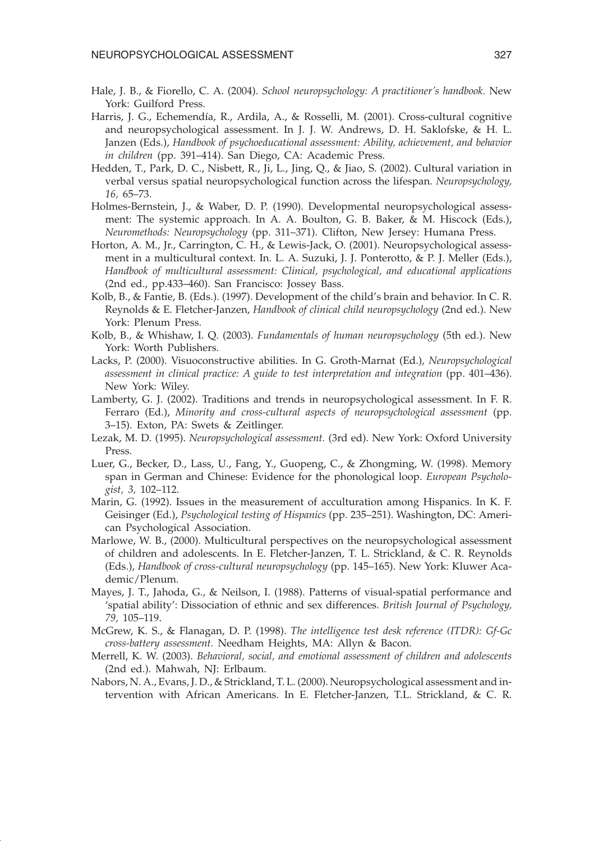- Hale, J. B., & Fiorello, C. A. (2004). *School neuropsychology: A practitioner's handbook.* New York: Guilford Press.
- Harris, J. G., Echemendía, R., Ardila, A., & Rosselli, M. (2001). Cross-cultural cognitive and neuropsychological assessment. In J. J. W. Andrews, D. H. Saklofske, & H. L. Janzen (Eds.), *Handbook of psychoeducational assessment: Ability, achievement, and behavior in children* (pp. 391–414). San Diego, CA: Academic Press.
- Hedden, T., Park, D. C., Nisbett, R., Ji, L., Jing, Q., & Jiao, S. (2002). Cultural variation in verbal versus spatial neuropsychological function across the lifespan. *Neuropsychology, 16,* 65–73.
- Holmes-Bernstein, J., & Waber, D. P. (1990). Developmental neuropsychological assessment: The systemic approach. In A. A. Boulton, G. B. Baker, & M. Hiscock (Eds.), *Neuromethods: Neuropsychology* (pp. 311–371). Clifton, New Jersey: Humana Press.
- Horton, A. M., Jr., Carrington, C. H., & Lewis-Jack, O. (2001). Neuropsychological assessment in a multicultural context. In. L. A. Suzuki, J. J. Ponterotto, & P. J. Meller (Eds.), *Handbook of multicultural assessment: Clinical, psychological, and educational applications* (2nd ed., pp.433–460). San Francisco: Jossey Bass.
- Kolb, B., & Fantie, B. (Eds.). (1997). Development of the child's brain and behavior. In C. R. Reynolds & E. Fletcher-Janzen, *Handbook of clinical child neuropsychology* (2nd ed.). New York: Plenum Press.
- Kolb, B., & Whishaw, I. Q. (2003). *Fundamentals of human neuropsychology* (5th ed.). New York: Worth Publishers.
- Lacks, P. (2000). Visuoconstructive abilities. In G. Groth-Marnat (Ed.), *Neuropsychological assessment in clinical practice: A guide to test interpretation and integration* (pp. 401–436). New York: Wiley.
- Lamberty, G. J. (2002). Traditions and trends in neuropsychological assessment. In F. R. Ferraro (Ed.), *Minority and cross-cultural aspects of neuropsychological assessment* (pp. 3–15). Exton, PA: Swets & Zeitlinger.
- Lezak, M. D. (1995). *Neuropsychological assessment.* (3rd ed). New York: Oxford University Press.
- Luer, G., Becker, D., Lass, U., Fang, Y., Guopeng, C., & Zhongming, W. (1998). Memory span in German and Chinese: Evidence for the phonological loop. *European Psychologist, 3,* 102–112.
- Marin, G. (1992). Issues in the measurement of acculturation among Hispanics. In K. F. Geisinger (Ed.), *Psychological testing of Hispanics* (pp. 235–251). Washington, DC: American Psychological Association.
- Marlowe, W. B., (2000). Multicultural perspectives on the neuropsychological assessment of children and adolescents. In E. Fletcher-Janzen, T. L. Strickland, & C. R. Reynolds (Eds.), *Handbook of cross-cultural neuropsychology* (pp. 145–165). New York: Kluwer Academic/Plenum. 31CAL ASSESSMENT<br>
2. C. A. (2004). *School neuropsychology: A pract*<br>
ess.<br>
ess.<br>
ess.<br>
ess.<br>
ess.<br>
elogical assessment: In J. J. W. Andrews, D.<br>
ological assessment: In J. J. W. Andrews, D.<br> *D.* C., Niabett, R., Ji, L.,
- Mayes, J. T., Jahoda, G., & Neilson, I. (1988). Patterns of visual-spatial performance and 'spatial ability': Dissociation of ethnic and sex differences. *British Journal of Psychology, 79,* 105–119.
- McGrew, K. S., & Flanagan, D. P. (1998). *The intelligence test desk reference (ITDR): Gf-Gc cross-battery assessment.* Needham Heights, MA: Allyn & Bacon.
- Merrell, K. W. (2003). *Behavioral, social, and emotional assessment of children and adolescents* (2nd ed.). Mahwah, NJ: Erlbaum.
- Nabors, N. A., Evans, J. D., & Strickland, T. L. (2000). Neuropsychological assessment and intervention with African Americans. In E. Fletcher-Janzen, T.L. Strickland, & C. R.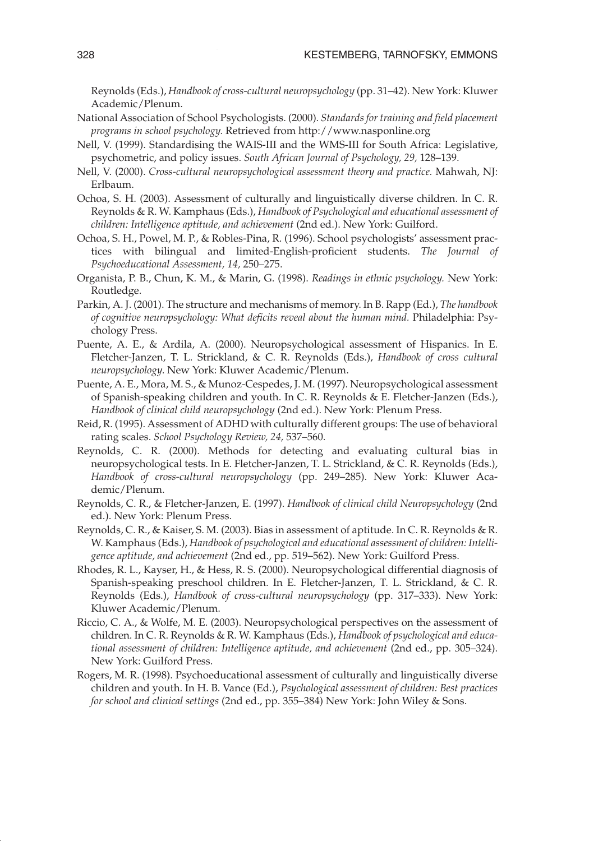Reynolds (Eds.), *Handbook of cross-cultural neuropsychology* (pp. 31–42). New York: Kluwer Academic/Plenum.

Laura B Kestemberg Ph.D - James E. Tobin Library - 13/12/2017

- National Association of School Psychologists. (2000). *Standards for training and field placement programs in school psychology.* Retrieved from http://www.nasponline.org
- Nell, V. (1999). Standardising the WAIS-III and the WMS-III for South Africa: Legislative, psychometric, and policy issues. *South African Journal of Psychology, 29,* 128–139.
- Nell, V. (2000). *Cross-cultural neuropsychological assessment theory and practice.* Mahwah, NJ: Erlbaum.
- Ochoa, S. H. (2003). Assessment of culturally and linguistically diverse children. In C. R. Reynolds & R. W. Kamphaus (Eds.), *Handbook of Psychological and educational assessment of children: Intelligence aptitude, and achievement* (2nd ed.). New York: Guilford.
- Ochoa, S. H., Powel, M. P., & Robles-Pina, R. (1996). School psychologists' assessment practices with bilingual and limited-English-proficient students. *The Journal of Psychoeducational Assessment, 14,* 250–275.
- Organista, P. B., Chun, K. M., & Marin, G. (1998). *Readings in ethnic psychology.* New York: Routledge.
- Parkin, A. J. (2001). The structure and mechanisms of memory. In B. Rapp (Ed.), *The handbook of cognitive neuropsychology: What deficits reveal about the human mind.* Philadelphia: Psychology Press.
- Puente, A. E., & Ardila, A. (2000). Neuropsychological assessment of Hispanics. In E. Fletcher-Janzen, T. L. Strickland, & C. R. Reynolds (Eds.), *Handbook of cross cultural neuropsychology*. New York: Kluwer Academic/Plenum.
- Puente, A. E., Mora, M. S., & Munoz-Cespedes, J. M. (1997). Neuropsychological assessment of Spanish-speaking children and youth. In C. R. Reynolds & E. Fletcher-Janzen (Eds.), *Handbook of clinical child neuropsychology* (2nd ed.). New York: Plenum Press.
- Reid, R. (1995). Assessment of ADHD with culturally different groups: The use of behavioral rating scales. *School Psychology Review, 24,* 537–560.
- Reynolds, C. R. (2000). Methods for detecting and evaluating cultural bias in neuropsychological tests. In E. Fletcher-Janzen, T. L. Strickland, & C. R. Reynolds (Eds.), *Handbook of cross-cultural neuropsychology* (pp. 249–285). New York: Kluwer Academic/Plenum. **KESTEMBERG, TAR**<br>
Hook of cross-cultural neuropsychology (pp. 31–42<br>
School Psychologists. (2000). *Standards for trainial*<br>
biology. Retireved from http://www.masponlingtribution<br>
lising the WAIS-III and the WMS-III for
- Reynolds, C. R., & Fletcher-Janzen, E. (1997). *Handbook of clinical child Neuropsychology* (2nd ed.). New York: Plenum Press.
- Reynolds, C. R., & Kaiser, S. M. (2003). Bias in assessment of aptitude. In C. R. Reynolds & R. W. Kamphaus (Eds.), *Handbook of psychological and educational assessment of children: Intelligence aptitude, and achievement* (2nd ed., pp. 519–562). New York: Guilford Press.
- Rhodes, R. L., Kayser, H., & Hess, R. S. (2000). Neuropsychological differential diagnosis of Spanish-speaking preschool children. In E. Fletcher-Janzen, T. L. Strickland, & C. R. Reynolds (Eds.), *Handbook of cross-cultural neuropsychology* (pp. 317–333). New York: Kluwer Academic/Plenum.
- Riccio, C. A., & Wolfe, M. E. (2003). Neuropsychological perspectives on the assessment of children. In C. R. Reynolds & R. W. Kamphaus (Eds.), *Handbook of psychological and educational assessment of children: Intelligence aptitude, and achievement* (2nd ed., pp. 305–324). New York: Guilford Press.
- Rogers, M. R. (1998). Psychoeducational assessment of culturally and linguistically diverse children and youth. In H. B. Vance (Ed.), *Psychological assessment of children: Best practices for school and clinical settings* (2nd ed., pp. 355–384) New York: John Wiley & Sons.